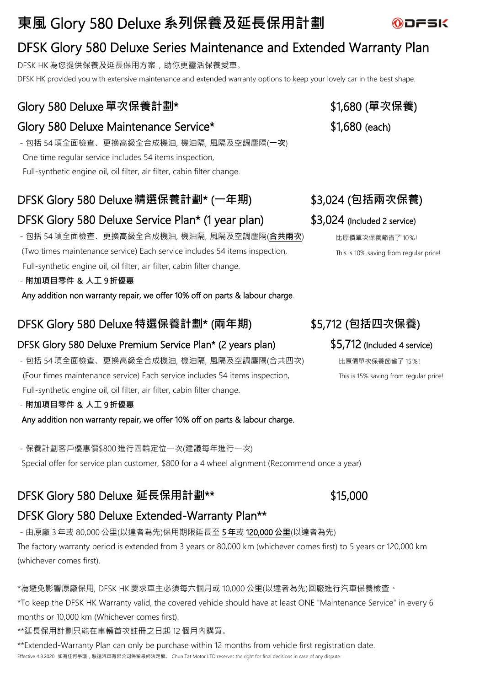# **東風** Glory 580 Deluxe **系列保養及延長保用計劃**



DFSK HK 為您提供保養及延長保用方案,助你更靈活保養愛車。

DFSK HK provided you with extensive maintenance and extended warranty options to keep your lovely car in the best shape.

# Glory 580 Deluxe**單次保養計劃**\* \$1,680 (**單次保養**)

## Glory 580 Deluxe Maintenance Service\*  $$1,680$  (each)

-包括 54項全面檢查、更換高級全合成機油, 機油隔, 風隔及空調塵隔(**一次**) One time regular service includes 54 items inspection, Full-synthetic engine oil, oil filter, air filter, cabin filter change.

# DFSK Glory 580 Deluxe **精選保養計劃**\* (**一年期**) \$3,024 (**包括兩次保養**)

# DFSK Glory 580 Deluxe Service Plan\* (1 year plan) \$3,024 (Included 2 service)

-包括 54項全面檢查、更換高級全合成機油, 機油隔, 風隔及空調塵隔(**合共兩次**) (Two times maintenance service) Each service includes 54 items inspection, Full-synthetic engine oil, oil filter, air filter, cabin filter change.

### -**附加項目零件** & **人工** 9 **折優惠**

Any addition non warranty repair, we offer 10% off on parts & labour charge.

# DFSK Glory 580 Deluxe **特選保養計劃**\* (**兩年期**) \$5,712 (**包括四次保養**)

### DFSK Glory 580 Deluxe Premium Service Plan\* (2 years plan) \$5,712 (Included 4 service)

-包括 54項全面檢查、更換高級全合成機油, 機油隔, 風隔及空調塵隔(合共四次) (Four times maintenance service) Each service includes 54 items inspection, Full-synthetic engine oil, oil filter, air filter, cabin filter change.

### -**附加項目零件** & **人工** 9 **折優惠**

Any addition non warranty repair, we offer 10% off on parts & labour charge.

-保養計劃客戶優惠價\$800 進行四輪定位一次(建議每年進行一次)

Special offer for service plan customer, \$800 for a 4 wheel alignment (Recommend once a year)

# DFSK Glory 580 Deluxe **延長保用計劃**\*\* \$15,000

# DFSK Glory 580 Deluxe Extended-Warranty Plan\*\*

-由原廠 3 年或 80,000 公里(以達者為先)保用期限延長至 5 **年**或 120,000 **公里**(以達者為先) The factory warranty period is extended from 3 years or 80,000 km (whichever comes first) to 5 years or 120,000 km (whichever comes first).

### \*為避免影響原廠保用, DFSK HK 要求車主必須每六個月或 10,000 公里(以達者為先)回廠進行汽車保養檢查。

\*To keep the DFSK HK Warranty valid, the covered vehicle should have at least ONE "Maintenance Service" in every 6 months or 10,000 km (Whichever comes first).

\*\*延長保用計劃只能在車輛首次註冊之日起 12 個月內購買。

\*\*Extended-Warranty Plan can only be purchase within 12 months from vehicle first registration date. Effective 4.8.2020 如有任何爭議,駿達汽車有限公司保留最終決定權。 Chun Tat Motor LTD reserves the right for final decisions in case of any dispute.

比原價單次保養節省了 10%! This is 10% saving from regular price!

比原價單次保養節省了 15%! This is 15% saving from regular price!